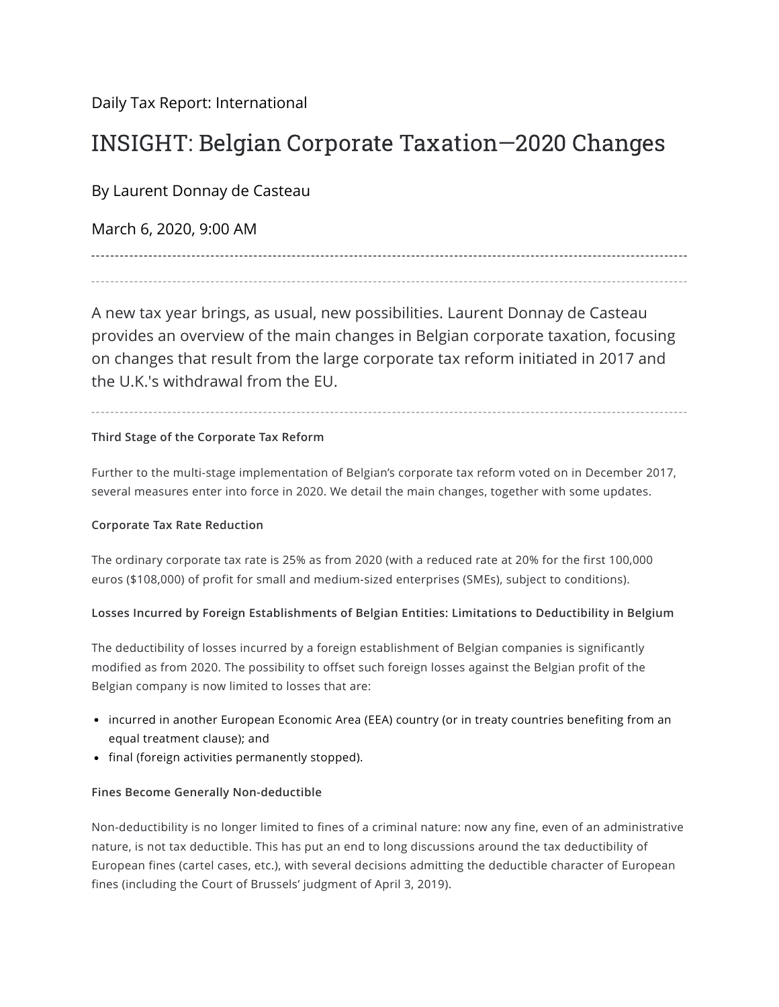[Daily Tax Report: International](https://news.bloombergtax.com/daily-tax-report-international/)

# INSIGHT: Belgian Corporate Taxation—2020 Changes

By Laurent Donnay de Casteau

March 6, 2020, 9:00 AM

A new tax year brings, as usual, new possibilities. Laurent Donnay de Casteau provides an overview of the main changes in Belgian corporate taxation, focusing on changes that result from the large corporate tax reform initiated in 2017 and the U.K.'s withdrawal from the EU.

## **Third Stage of the Corporate Tax Reform**

Further to the multi-stage implementation of Belgian's corporate tax reform voted on in December 2017, several measures enter into force in 2020. We detail the main changes, together with some updates.

## **Corporate Tax Rate Reduction**

The ordinary corporate tax rate is 25% as from 2020 (with a reduced rate at 20% for the first 100,000 euros (\$108,000) of profit for small and medium-sized enterprises (SMEs), subject to conditions).

## **Losses Incurred by Foreign Establishments of Belgian Entities: Limitations to Deductibility in Belgium**

The deductibility of losses incurred by a foreign establishment of Belgian companies is significantly modified as from 2020. The possibility to offset such foreign losses against the Belgian profit of the Belgian company is now limited to losses that are:

- incurred in another European Economic Area (EEA) country (or in treaty countries benefiting from an equal treatment clause); and
- final (foreign activities permanently stopped).

## **Fines Become Generally Non-deductible**

Non-deductibility is no longer limited to fines of a criminal nature: now any fine, even of an administrative nature, is not tax deductible. This has put an end to long discussions around the tax deductibility of European fines (cartel cases, etc.), with several decisions admitting the deductible character of European fines (including the Court of Brussels' judgment of April 3, 2019).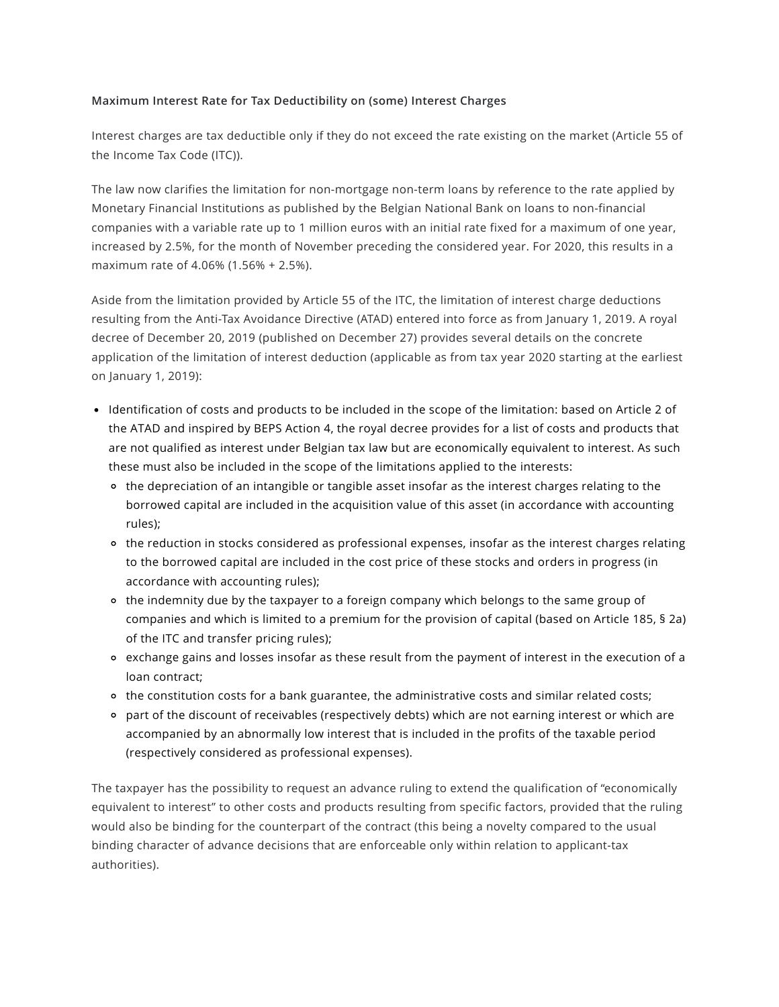#### **Maximum Interest Rate for Tax Deductibility on (some) Interest Charges**

Interest charges are tax deductible only if they do not exceed the rate existing on the market (Article 55 of the [Income](https://eservices.minfin.fgov.be/myminfin-web/pages/fisconet?path=compare&guid1=79f663a3-6c90-48fc-8a2f-b05f25031ef4&guid2=f7d8dbb2-7631-48b4-b3cb-9673c569d449) Tax Code (ITC)).

The law now clarifies the limitation for non-mortgage non-term loans by reference to the rate applied by Monetary Financial Institutions as published by the Belgian National Bank on loans to non-financial companies with a variable rate up to 1 million euros with an initial rate fixed for a maximum of one year, increased by 2.5%, for the month of November preceding the considered year. For 2020, this results in a maximum rate of 4.06% (1.56% + 2.5%).

Aside from the limitation provided by Article 55 of the ITC, the limitation of interest charge deductions resulting from the Anti-Tax Avoidance Directive (ATAD) entered into force as from January 1, 2019. A royal decree of December 20, 2019 (published on December 27) provides several details on the concrete application of the limitation of interest deduction (applicable as from tax year 2020 starting at the earliest on January 1, 2019):

- Identification of costs and products to be included in the scope of the limitation: based on Article 2 of the ATAD and inspired by BEPS Action 4, the royal decree provides for a list of costs and products that are not qualified as interest under Belgian tax law but are economically equivalent to interest. As such these must also be included in the scope of the limitations applied to the interests:
	- the depreciation of an intangible or tangible asset insofar as the interest charges relating to the borrowed capital are included in the acquisition value of this asset (in accordance with accounting rules);
	- the reduction in stocks considered as professional expenses, insofar as the interest charges relating to the borrowed capital are included in the cost price of these stocks and orders in progress (in accordance with accounting rules);
	- the indemnity due by the taxpayer to a foreign company which belongs to the same group of companies and which is limited to a premium for the provision of capital (based on Article 185, § 2a) of the ITC and transfer pricing rules);
	- exchange gains and losses insofar as these result from the payment of interest in the execution of a loan contract;
	- the constitution costs for a bank guarantee, the administrative costs and similar related costs;
	- part of the discount of receivables (respectively debts) which are not earning interest or which are accompanied by an abnormally low interest that is included in the profits of the taxable period (respectively considered as professional expenses).

The taxpayer has the possibility to request an advance ruling to extend the qualification of "economically equivalent to interest" to other costs and products resulting from specific factors, provided that the ruling would also be binding for the counterpart of the contract (this being a novelty compared to the usual binding character of advance decisions that are enforceable only within relation to applicant-tax authorities).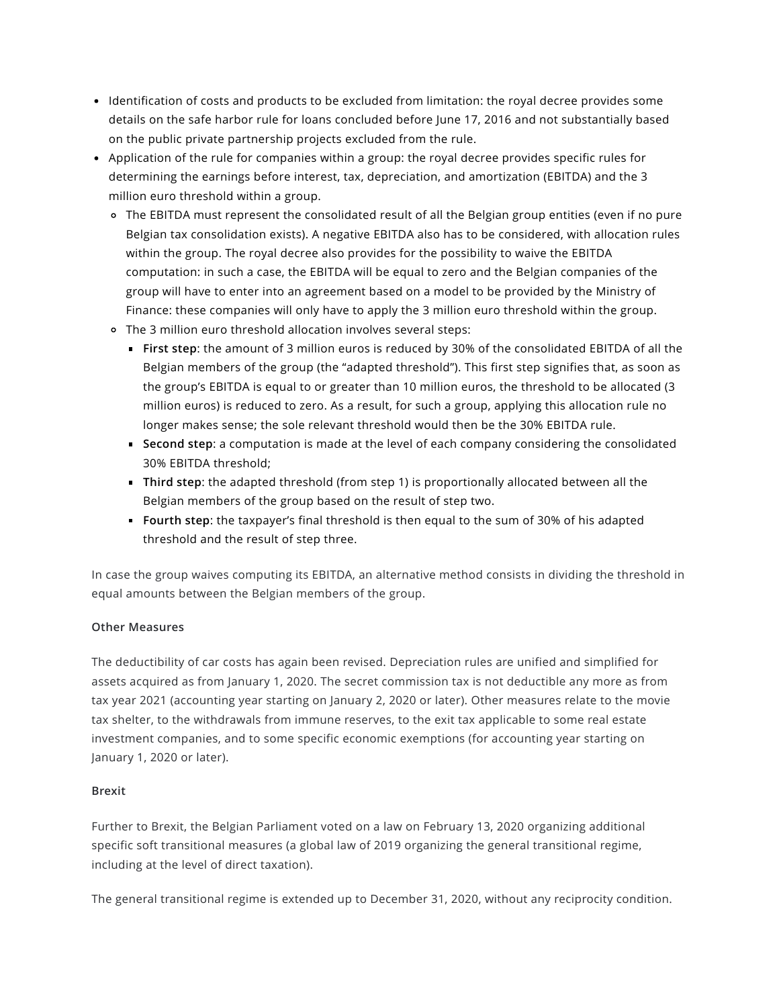- Identification of costs and products to be excluded from limitation: the royal decree provides some details on the safe harbor rule for loans concluded before June 17, 2016 and not substantially based on the public private partnership projects excluded from the rule.
- Application of the rule for companies within a group: the royal decree provides specific rules for determining the earnings before interest, tax, depreciation, and amortization (EBITDA) and the 3 million euro threshold within a group.
	- The EBITDA must represent the consolidated result of all the Belgian group entities (even if no pure Belgian tax consolidation exists). A negative EBITDA also has to be considered, with allocation rules within the group. The royal decree also provides for the possibility to waive the EBITDA computation: in such a case, the EBITDA will be equal to zero and the Belgian companies of the group will have to enter into an agreement based on a model to be provided by the Ministry of Finance: these companies will only have to apply the 3 million euro threshold within the group.
	- The 3 million euro threshold allocation involves several steps:
		- **First step**: the amount of 3 million euros is reduced by 30% of the consolidated EBITDA of all the Belgian members of the group (the "adapted threshold"). This first step signifies that, as soon as the group's EBITDA is equal to or greater than 10 million euros, the threshold to be allocated (3 million euros) is reduced to zero. As a result, for such a group, applying this allocation rule no longer makes sense; the sole relevant threshold would then be the 30% EBITDA rule.
		- **Second step**: a computation is made at the level of each company considering the consolidated 30% EBITDA threshold;
		- **Third step**: the adapted threshold (from step 1) is proportionally allocated between all the Belgian members of the group based on the result of step two.
		- **Fourth step**: the taxpayer's final threshold is then equal to the sum of 30% of his adapted threshold and the result of step three.

In case the group waives computing its EBITDA, an alternative method consists in dividing the threshold in equal amounts between the Belgian members of the group.

## **Other Measures**

The deductibility of car costs has again been revised. Depreciation rules are unified and simplified for assets acquired as from January 1, 2020. The secret commission tax is not deductible any more as from tax year 2021 (accounting year starting on January 2, 2020 or later). Other measures relate to the movie tax shelter, to the withdrawals from immune reserves, to the exit tax applicable to some real estate investment companies, and to some specific economic exemptions (for accounting year starting on January 1, 2020 or later).

## **Brexit**

Further to Brexit, the Belgian Parliament voted on a [law](https://www.lachambre.be/kvvcr/showpage.cfm?section=/flwb&language=fr&cfm=/site/wwwcfm/flwb/flwbn.cfm?legislist=legisnr&dossierID=0948) on February 13, 2020 organizing additional specific soft transitional measures (a global law of 2019 organizing the general transitional regime, including at the level of direct taxation).

The general transitional regime is extended up to December 31, 2020, without any reciprocity condition.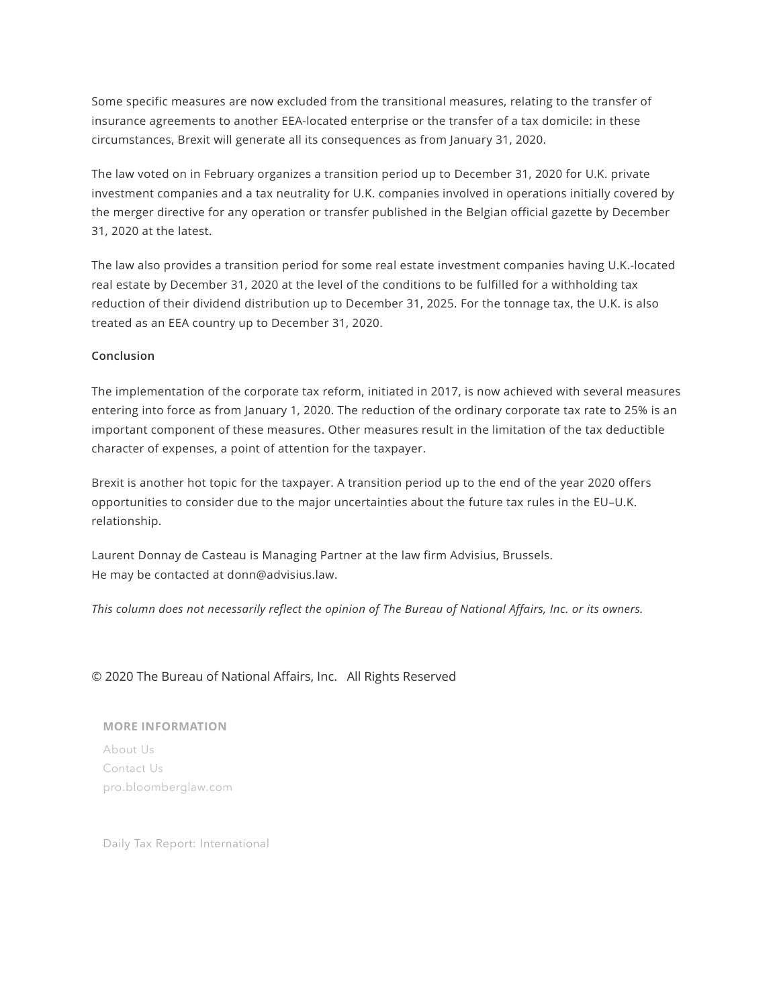Some specific measures are now excluded from the transitional measures, relating to the transfer of insurance agreements to another EEA-located enterprise or the transfer of a tax domicile: in these circumstances, Brexit will generate all its consequences as from January 31, 2020.

The law voted on in February organizes a transition period up to December 31, 2020 for U.K. private investment companies and a tax neutrality for U.K. companies involved in operations initially covered by the merger directive for any operation or transfer published in the Belgian official gazette by December 31, 2020 at the latest.

The law also provides a transition period for some real estate investment companies having U.K.-located real estate by December 31, 2020 at the level of the conditions to be fulfilled for a withholding tax reduction of their dividend distribution up to December 31, 2025. For the tonnage tax, the U.K. is also treated as an EEA country up to December 31, 2020.

#### **Conclusion**

The implementation of the corporate tax reform, initiated in 2017, is now achieved with several measures entering into force as from January 1, 2020. The reduction of the ordinary corporate tax rate to 25% is an important component of these measures. Other measures result in the limitation of the tax deductible character of expenses, a point of attention for the taxpayer.

Brexit is another hot topic for the taxpayer. A transition period up to the end of the year 2020 offers opportunities to consider due to the major uncertainties about the future tax rules in the EU–U.K. relationship.

Laurent Donnay de Casteau is Managing Partner at the law firm Advisius, Brussels. He may be contacted at [donn@advisius.law.](mailto:donn@advisius.law)

This column does not necessarily reflect the opinion of The Bureau of National Affairs, Inc. or its owners.

#### © 2020 The Bureau of National Affairs, Inc. All Rights Reserved

#### **MORE INFORMATION**

[About](https://www.bloombergindustry.com/about-us/) Us [Contact](https://www.bloombergindustry.com/contact-us/) Us [pro.bloomberglaw.com](https://pro.bloomberglaw.com/)

Daily Tax Report: International